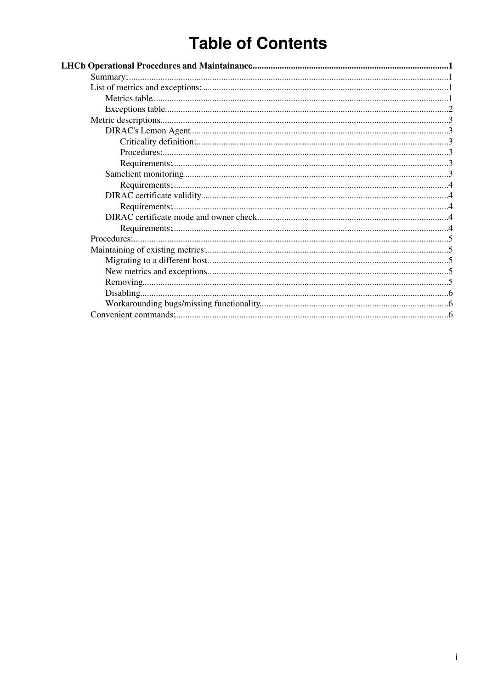# **Table of Contents**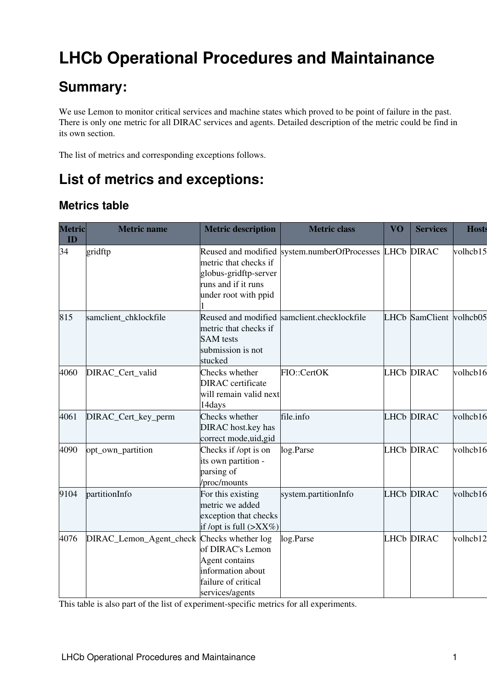# <span id="page-1-0"></span>**LHCb Operational Procedures and Maintainance**

## <span id="page-1-1"></span>**Summary:**

We use Lemon to monitor critical services and machine states which proved to be point of failure in the past. There is only one metric for all DIRAC services and agents. Detailed description of the metric could be find in its own section.

The list of metrics and corresponding exceptions follows.

## <span id="page-1-2"></span>**List of metrics and exceptions:**

## <span id="page-1-3"></span>**Metrics table**

| <b>Metric</b><br>ID | <b>Metric name</b>                         | <b>Metric description</b>                                                                         | <b>Metric class</b>                                     | VO | <b>Services</b> | <b>Hosts</b> |
|---------------------|--------------------------------------------|---------------------------------------------------------------------------------------------------|---------------------------------------------------------|----|-----------------|--------------|
| 34                  | gridftp                                    | metric that checks if<br>globus-gridftp-server<br>runs and if it runs<br>under root with ppid     | Reused and modified system.numberOfProcesses LHCb DIRAC |    |                 | volhcb15     |
| 815                 | samclient_chklockfile                      | metric that checks if<br><b>SAM</b> tests<br>submission is not<br>stucked                         | Reused and modified samclient.checklockfile             |    | LHCb SamClient  | volhcb05     |
| 4060                | DIRAC_Cert_valid                           | Checks whether<br><b>DIRAC</b> certificate<br>will remain valid next<br>14days                    | FIO::CertOK                                             |    | LHCb DIRAC      | volhcb16     |
| 4061                | DIRAC_Cert_key_perm                        | Checks whether<br><b>DIRAC</b> host.key has<br>correct mode,uid, gid                              | file.info                                               |    | LHCb DIRAC      | volhcb16     |
| 4090                | opt_own_partition                          | Checks if /opt is on<br>its own partition -<br>parsing of<br>/proc/mounts                         | log.Parse                                               |    | LHCb DIRAC      | volhcb16     |
| 9104                | partitionInfo                              | For this existing<br>metric we added<br>exception that checks<br>if /opt is full $(\geq$ XX%)     | system.partitionInfo                                    |    | LHCb DIRAC      | volhcb16     |
| 4076                | DIRAC_Lemon_Agent_check Checks whether log | of DIRAC's Lemon<br>Agent contains<br>information about<br>failure of critical<br>services/agents | log.Parse                                               |    | LHCb DIRAC      | volhcb12     |

This table is also part of the [list](https://twiki.cern.ch/twiki/bin/view/LCG/ExperimentLemonMetrics) of experiment-specific metrics for all experiments.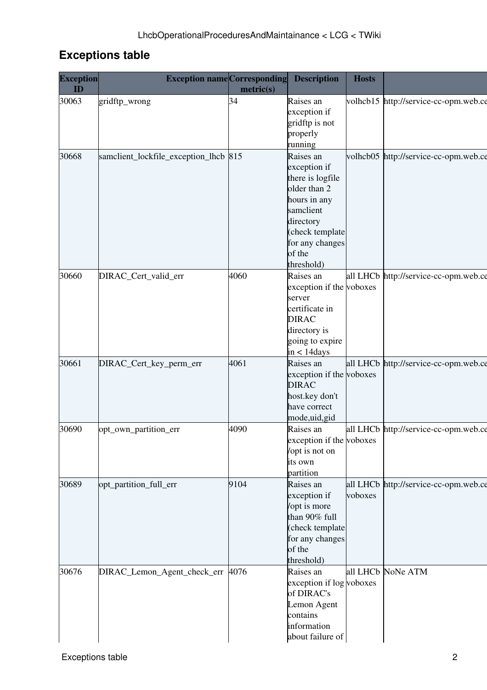## <span id="page-2-0"></span>**Exceptions table**

| <b>Exception</b><br>ID | <b>Exception name</b> Corresponding Description | metric(s) |                                           | Hosts   |                                       |
|------------------------|-------------------------------------------------|-----------|-------------------------------------------|---------|---------------------------------------|
| 30063                  | gridftp_wrong                                   |           | Raises an<br>exception if                 |         | volhcb15 http://service-cc-opm.web.ce |
|                        |                                                 |           | gridftp is not                            |         |                                       |
|                        |                                                 |           | properly<br>running                       |         |                                       |
| 30668                  | samclient_lockfile_exception_lhcb 815           |           | Raises an                                 |         | volhcb05 http://service-cc-opm.web.ce |
|                        |                                                 |           | exception if<br>there is logfile          |         |                                       |
|                        |                                                 |           | older than 2                              |         |                                       |
|                        |                                                 |           | hours in any<br>samclient                 |         |                                       |
|                        |                                                 |           | directory                                 |         |                                       |
|                        |                                                 |           | (check template<br>for any changes        |         |                                       |
|                        |                                                 |           | of the                                    |         |                                       |
| 30660                  | DIRAC_Cert_valid_err                            | 4060      | threshold)<br>Raises an                   |         | all LHCb http://service-cc-opm.web.ce |
|                        |                                                 |           | exception if the voboxes                  |         |                                       |
|                        |                                                 |           | server<br>certificate in                  |         |                                       |
|                        |                                                 |           | <b>DIRAC</b>                              |         |                                       |
|                        |                                                 |           | directory is                              |         |                                       |
|                        |                                                 |           | going to expire<br>$in < 14$ days         |         |                                       |
| 30661                  | DIRAC_Cert_key_perm_err                         | 4061      | Raises an                                 |         | all LHCb http://service-cc-opm.web.ce |
|                        |                                                 |           | exception if the voboxes<br><b>DIRAC</b>  |         |                                       |
|                        |                                                 |           | host.key don't                            |         |                                       |
|                        |                                                 |           | have correct<br>mode,uid,gid              |         |                                       |
| 30690                  | opt_own_partition_err                           | 4090      | Raises an                                 |         | all LHCb http://service-cc-opm.web.ce |
|                        |                                                 |           | exception if the voboxes<br>opt is not on |         |                                       |
|                        |                                                 |           | its own                                   |         |                                       |
| 30689                  | opt_partition_full_err                          | 9104      | partition<br>Raises an                    |         | all LHCb http://service-cc-opm.web.ce |
|                        |                                                 |           | exception if                              | voboxes |                                       |
|                        |                                                 |           | /opt is more<br>than 90% full             |         |                                       |
|                        |                                                 |           | (check template                           |         |                                       |
|                        |                                                 |           | for any changes<br>of the                 |         |                                       |
|                        |                                                 |           | threshold)                                |         |                                       |
| 30676                  | DIRAC_Lemon_Agent_check_err 4076                |           | Raises an<br>exception if log voboxes     |         | all LHCb NoNe ATM                     |
|                        |                                                 |           | of DIRAC's                                |         |                                       |
|                        |                                                 |           | Lemon Agent                               |         |                                       |
|                        |                                                 |           | contains<br>information                   |         |                                       |
|                        |                                                 |           | about failure of                          |         |                                       |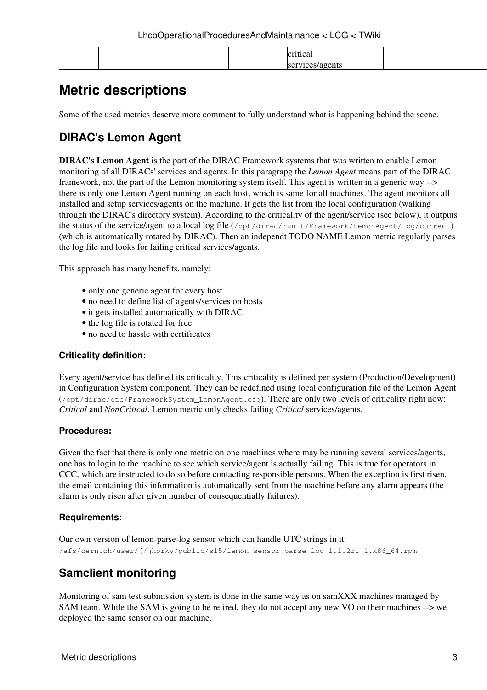| .tıcal          |
|-----------------|
| services/agents |

## <span id="page-3-0"></span>**Metric descriptions**

Some of the used metrics deserve more comment to fully understand what is happening behind the scene.

## <span id="page-3-1"></span>**DIRAC's Lemon Agent**

**DIRAC's Lemon Agent** is the part of the DIRAC Framework systems that was written to enable Lemon monitoring of all DIRACs' services and agents. In this paragrapg the *Lemon Agent* means part of the DIRAC framework, not the part of the Lemon monitoring system itself. This agent is written in a generic way --> there is only one Lemon Agent running on each host, which is same for all machines. The agent monitors all installed and setup services/agents on the machine. It gets the list from the local configuration (walking through the DIRAC's directory system). According to the criticality of the agent/service (see below), it outputs the status of the service/agent to a local log file (/opt/dirac/runit/Framework/LemonAgent/log/current) (which is automatically rotated by DIRAC). Then an independt TODO NAME Lemon metric regularly parses the log file and looks for failing critical services/agents.

This approach has many benefits, namely:

- only one generic agent for every host
- no need to define list of agents/services on hosts
- it gets installed automatically with DIRAC
- the log file is rotated for free
- no need to hassle with certificates

#### <span id="page-3-2"></span>**Criticality definition:**

Every agent/service has defined its criticality. This criticality is defined per system (Production/Development) in Configuration System component. They can be redefined using local configuration file of the Lemon Agent (/opt/dirac/etc/FrameworkSystem\_LemonAgent.cfg). There are only two levels of criticality right now: *Critical* and *NonCritical*. Lemon metric only checks failing *Critical* services/agents.

#### <span id="page-3-3"></span>**Procedures:**

Given the fact that there is only one metric on one machines where may be running several services/agents, one has to login to the machine to see which service/agent is actually failing. This is true for operators in CCC, which are instructed to do so before contacting responsible persons. When the exception is first risen, the email containing this information is automatically sent from the machine before any alarm appears (the alarm is only risen after given number of consequentially failures).

#### <span id="page-3-4"></span>**Requirements:**

Our own version of lemon-parse-log sensor which can handle UTC strings in it: /afs/cern.ch/user/j/jhorky/public/sl5/lemon-sensor-parse-log-1.1.2r1-1.x86\_64.rpm

## <span id="page-3-5"></span>**Samclient monitoring**

Monitoring of sam test submission system is done in the same way as on samXXX machines managed by SAM team. While the SAM is going to be retired, they do not accept any new VO on their machines --> we deployed the same sensor on our machine.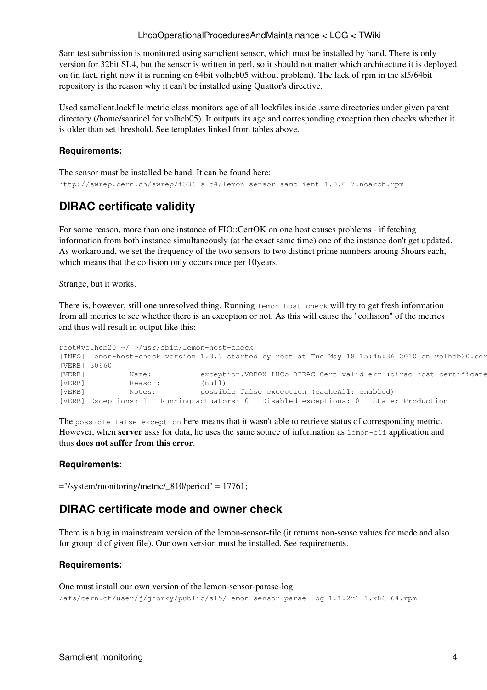#### LhcbOperationalProceduresAndMaintainance < LCG < TWiki

Sam test submission is monitored using samclient sensor, which must be installed by hand. There is only version for 32bit SL4, but the sensor is written in perl, so it should not matter which architecture it is deployed on (in fact, right now it is running on 64bit volhcb05 without problem). The lack of rpm in the sl5/64bit repository is the reason why it can't be installed using Quattor's directive.

Used samclient.lockfile metric class monitors age of all lockfiles inside .same directories under given parent directory (/home/santinel for volhcb05). It outputs its age and corresponding exception then checks whether it is older than set threshold. See templates linked from tables above.

#### <span id="page-4-0"></span>**Requirements:**

The sensor must be installed be hand. It can be found here: http://swrep.cern.ch/swrep/i386\_slc4/lemon-sensor-samclient-1.0.0-7.noarch.rpm

### <span id="page-4-1"></span>**DIRAC certificate validity**

For some reason, more than one instance of FIO::CertOK on one host causes problems - if fetching information from both instance simultaneously (at the exact same time) one of the instance don't get updated. As workaround, we set the frequency of the two sensors to two distinct prime numbers aroung 5hours each, which means that the collision only occurs once per 10years.

Strange, but it works.

There is, however, still one unresolved thing. Running lemon-host-check will try to get fresh information from all metrics to see whether there is an exception or not. As this will cause the "collision" of the metrics and thus will result in output like this:

```
root@volhcb20 ~/ >/usr/sbin/lemon-host-check
[INFO] lemon-host-check version 1.3.3 started by root at Tue May 18 15:46:36 2010 on volhcb20.cer
[VERB] 30660
[VERB] Name: exception.VOBOX_LHCb_DIRAC_Cert_valid_err (dirac-host-certificate
[VERB] Reason: (null)<br>[VERB] Notes: possib
[VERB] Notes: possible false exception (cacheAll: enabled)
[VERB] Exceptions: 1 - Running actuators: 0 - Disabled exceptions: 0 - State: Production
```
The possible false exception here means that it wasn't able to retrieve status of corresponding metric. However, when **server** asks for data, he uses the same source of information as lemon-cli application and thus **does not suffer from this error**.

#### <span id="page-4-2"></span>**Requirements:**

="/system/monitoring/metric/\_810/period" = 17761;

### <span id="page-4-3"></span>**DIRAC certificate mode and owner check**

There is a bug in mainstream version of the lemon-sensor-file (it returns non-sense values for mode and also for group id of given file). Our own version must be installed. See requirements.

#### <span id="page-4-4"></span>**Requirements:**

One must install our own version of the lemon-sensor-parase-log: /afs/cern.ch/user/j/jhorky/public/sl5/lemon-sensor-parse-log-1.1.2r1-1.x86\_64.rpm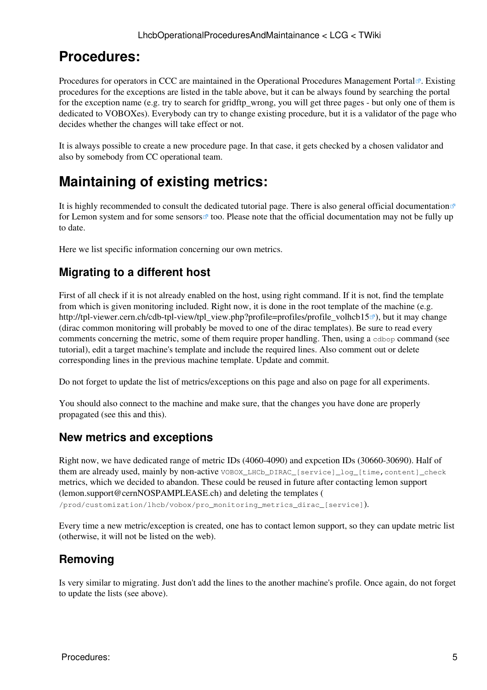## <span id="page-5-0"></span>**Procedures:**

Procedures for operators in CCC are maintained in the [Operational Procedures Management Portal](http://cern.ch/service-cc-opm/) <sup>®</sup>. Existing procedures for the exceptions are listed in the table above, but it can be always found by searching the portal for the exception name (e.g. try to search for gridftp\_wrong, you will get three pages - but only one of them is dedicated to VOBOXes). Everybody can try to change existing procedure, but it is a validator of the page who decides whether the changes will take effect or not.

It is always possible to create a new procedure page. In that case, it gets checked by a chosen validator and also by somebody from CC operational team.

## <span id="page-5-1"></span>**Maintaining of existing metrics:**

It is highly recommended to consult the [dedicated tutorial page.](https://twiki.cern.ch/twiki/bin/view/LCG/VOSpecificServicesMon_Tutorial) There is also [general official documentation](http://lemon.web.cern.ch/lemon/docs.shtml) $\mathbb{Z}$ for Lemon system and for some [sensors](http://lemon.web.cern.ch/lemon/doc/sensors.shtml)  $\mathbb{Z}$  too. Please note that the official documentation may not be fully up to date.

Here we list specific information concerning our own metrics.

### <span id="page-5-2"></span>**Migrating to a different host**

First of all check if it is not already enabled on the host, using [right command.](https://twiki.cern.ch/twiki/bin/edit/LCG/Convenient_commands?topicparent=LCG.LhcbOperationalProceduresAndMaintainance;nowysiwyg=1) If it is not, find the template from which is given monitoring included. Right now, it is done in the root template of the machine (e.g. [http://tpl-viewer.cern.ch/cdb-tpl-view/tpl\\_view.php?profile=profiles/profile\\_volhcb15](http://tpl-viewer.cern.ch/cdb-tpl-view/tpl_view.php?profile=profiles/profile_volhcb15)<sup> $\mathcal{B}$ </sup>), but it may change (dirac common monitoring will probably be moved to one of the dirac templates). Be sure to read every comments concerning the metric, some of them require proper handling. Then, using a cdbop command (see [tutorial\)](https://twiki.cern.ch/twiki/bin/view/LCG/VOSpecificServicesMon_Tutorial), edit a target machine's template and include the required lines. Also comment out or delete corresponding lines in the previous machine template. Update and commit.

Do not forget to update the list of metrics/exceptions on this page and also on [page for all experiments](https://twiki.cern.ch/twiki/bin/view/LCG/ExperimentLemonMetrics).

You should also connect to the machine and make sure, that the changes you have done are properly propagated (see [this](https://twiki.cern.ch/twiki/bin/edit/LCG/VOSpecificServicesMon_Tutoria?topicparent=LCG.LhcbOperationalProceduresAndMaintainance;nowysiwyg=1) and this).

### <span id="page-5-3"></span>**New metrics and exceptions**

Right now, we have dedicated range of metric IDs (4060-4090) and expcetion IDs (30660-30690). Half of them are already used, mainly by non-active VOBOX\_LHCb\_DIRAC\_[service]\_log\_[time,content]\_check metrics, which we decided to abandon. These could be reused in future after contacting lemon support ([lemon.support@cernNOSPAMPLEASE.ch](mailto:lemon.support@cernNOSPAMPLEASE.ch)) and deleting the templates (

/prod/customization/lhcb/vobox/pro\_monitoring\_metrics\_dirac\_[service]).

Every time a new metric/exception is created, one has to contact lemon support, so they can update metric list (otherwise, it will not be listed on the web).

## <span id="page-5-4"></span>**Removing**

Is very similar to migrating. Just don't add the lines to the another machine's profile. Once again, do not forget to update the lists (see above).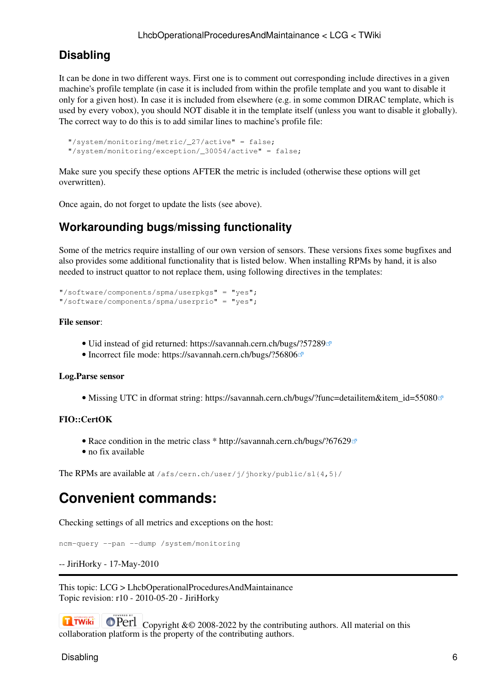### <span id="page-6-0"></span>**Disabling**

It can be done in two different ways. First one is to comment out corresponding include directives in a given machine's profile template (in case it is included from within the profile template and you want to disable it only for a given host). In case it is included from elsewhere (e.g. in some common DIRAC template, which is used by every vobox), you should NOT disable it in the template itself (unless you want to disable it globally). The correct way to do this is to add similar lines to machine's profile file:

```
 "/system/monitoring/metric/_27/active" = false;
 "/system/monitoring/exception/_30054/active" = false;
```
Make sure you specify these options AFTER the metric is included (otherwise these options will get overwritten).

Once again, do not forget to update the lists (see above).

### <span id="page-6-1"></span>**Workarounding bugs/missing functionality**

Some of the metrics require installing of our own version of sensors. These versions fixes some bugfixes and also provides some additional functionality that is listed below. When installing RPMs by hand, it is also needed to instruct quattor to not replace them, using following directives in the templates:

```
"/software/components/spma/userpkgs" = "yes";
"/software/components/spma/userprio" = "yes";
```
#### **File sensor**:

- Uid instead of gid returned:<https://savannah.cern.ch/bugs/?57289>
- Incorrect file mode:<https://savannah.cern.ch/bugs/?56806>

#### **Log.Parse sensor**

• Missing UTC in dformat string: [https://savannah.cern.ch/bugs/?func=detailitem&item\\_id=55080](https://savannah.cern.ch/bugs/?func=detailitem&item_id=55080)<sup>®</sup>

#### **FIO::CertOK**

- Race condition in the metric class \* <http://savannah.cern.ch/bugs/?67629>
- no fix available

The RPMs are available at /afs/cern.ch/user/j/jhorky/public/sl{4,5}/

## <span id="page-6-2"></span>**Convenient commands:**

Checking settings of all metrics and exceptions on the host:

ncm-query --pan --dump /system/monitoring

```
-- JiriHorky - 17-May-2010
```
This topic: LCG > LhcbOperationalProceduresAndMaintainance Topic revision: r10 - 2010-05-20 - JiriHorky

**OPETI** Copyright &© 2008-2022 by the contributing authors. All material on this **T**TWiki collaboration platform is the property of the contributing authors.

Disabling 6